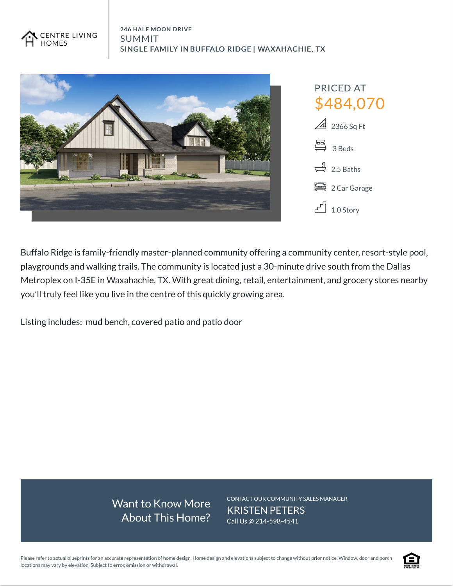



Buffalo Ridge is family-friendly master-planned community offering a community center, resort-style pool, playgrounds and walking trails. The community is located just a 30-minute drive south from the Dallas Metroplex on I-35E in Waxahachie, TX. With great dining, retail, entertainment, and grocery stores nearby you'll truly feel like you live in the centre of this quickly growing area.

Listing includes: mud bench, covered patio and patio door

Want to Know More About This Home? CONTACT OUR COMMUNITY SALES MANAGER KRISTEN PETERS Call Us @ 214-598-4541